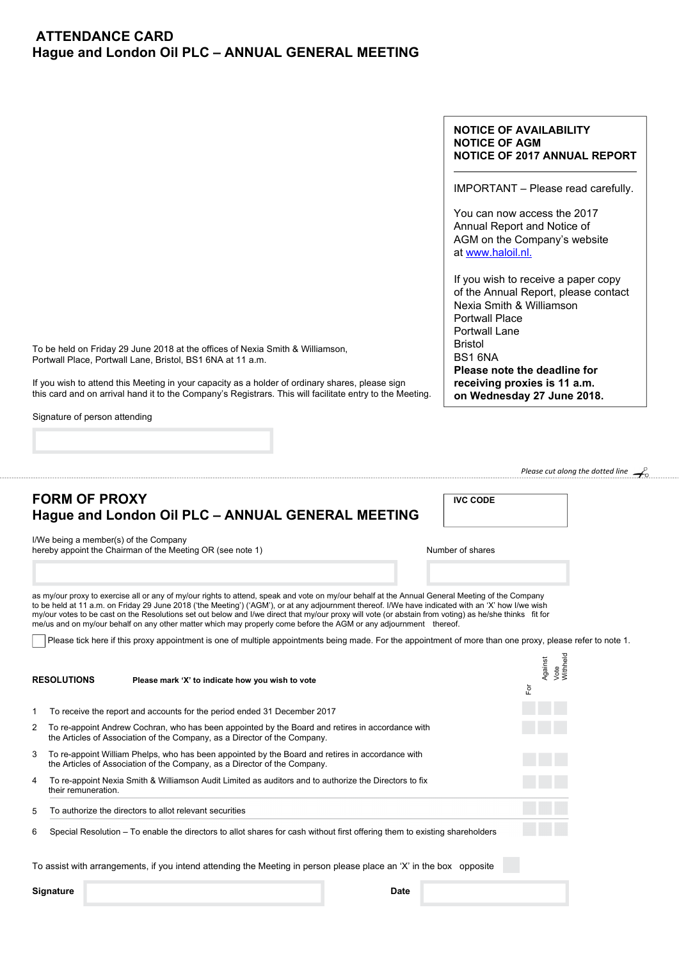## **ATTENDANCE CARD Hague and London Oil PLC – ANNUAL GENERAL MEETING**

## **NOTICE OF AVAILABILITY NOTICE OF AGM NOTICE OF 2017 ANNUAL REPORT**

IMPORTANT – Please read carefully.

You can now access the 2017 Annual Report and Notice of AGM on the Company's website at www.haloil.nl.

If you wish to receive a paper copy of the Annual Report, please contact Nexia Smith & Williamson Portwall Place Portwall Lane Bristol BS1 6NA **Please note the deadline for receiving proxies is 11 a.m. on Wednesday 27 June 2018.** 

**IVC CODE** 

*Please cut along the dotted line*

To be held on Friday 29 June 2018 at the offices of Nexia Smith & Williamson, Portwall Place, Portwall Lane, Bristol, BS1 6NA at 11 a.m.

If you wish to attend this Meeting in your capacity as a holder of ordinary shares, please sign this card and on arrival hand it to the Company's Registrars. This will facilitate entry to the Meeting.

Signature of person attending

**FORM OF PROXY** 

|   | ו רעאון די ווערוש<br>Hague and London Oil PLC - ANNUAL GENERAL MEETING                                                                                                                                                                                                                                                                                                                                                                                                                                                                                                               | ם טטט או         |                                   |  |
|---|--------------------------------------------------------------------------------------------------------------------------------------------------------------------------------------------------------------------------------------------------------------------------------------------------------------------------------------------------------------------------------------------------------------------------------------------------------------------------------------------------------------------------------------------------------------------------------------|------------------|-----------------------------------|--|
|   | I/We being a member(s) of the Company<br>hereby appoint the Chairman of the Meeting OR (see note 1)                                                                                                                                                                                                                                                                                                                                                                                                                                                                                  | Number of shares |                                   |  |
|   |                                                                                                                                                                                                                                                                                                                                                                                                                                                                                                                                                                                      |                  |                                   |  |
|   | as my/our proxy to exercise all or any of my/our rights to attend, speak and vote on my/our behalf at the Annual General Meeting of the Company<br>to be held at 11 a.m. on Friday 29 June 2018 ('the Meeting') ('AGM'), or at any adjournment thereof. I/We have indicated with an 'X' how I/we wish<br>my/our votes to be cast on the Resolutions set out below and I/we direct that my/our proxy will vote (or abstain from voting) as he/she thinks fit for<br>me/us and on my/our behalf on any other matter which may properly come before the AGM or any adjournment thereof. |                  |                                   |  |
|   | Please tick here if this proxy appointment is one of multiple appointments being made. For the appointment of more than one proxy, please refer to note 1.                                                                                                                                                                                                                                                                                                                                                                                                                           |                  |                                   |  |
|   | <b>RESOLUTIONS</b><br>Please mark 'X' to indicate how you wish to vote                                                                                                                                                                                                                                                                                                                                                                                                                                                                                                               |                  | Against<br>Vote<br>Withheld<br>ιă |  |
| 1 | To receive the report and accounts for the period ended 31 December 2017                                                                                                                                                                                                                                                                                                                                                                                                                                                                                                             |                  |                                   |  |
| 2 | To re-appoint Andrew Cochran, who has been appointed by the Board and retires in accordance with<br>the Articles of Association of the Company, as a Director of the Company.                                                                                                                                                                                                                                                                                                                                                                                                        |                  |                                   |  |
| 3 | To re-appoint William Phelps, who has been appointed by the Board and retires in accordance with<br>the Articles of Association of the Company, as a Director of the Company.                                                                                                                                                                                                                                                                                                                                                                                                        |                  |                                   |  |
| 4 | To re-appoint Nexia Smith & Williamson Audit Limited as auditors and to authorize the Directors to fix<br>their remuneration.                                                                                                                                                                                                                                                                                                                                                                                                                                                        |                  |                                   |  |
| 5 | To authorize the directors to allot relevant securities                                                                                                                                                                                                                                                                                                                                                                                                                                                                                                                              |                  |                                   |  |
| 6 | Special Resolution – To enable the directors to allot shares for cash without first offering them to existing shareholders                                                                                                                                                                                                                                                                                                                                                                                                                                                           |                  |                                   |  |
|   | To assist with arrangements, if you intend attending the Meeting in person please place an 'X' in the box opposite                                                                                                                                                                                                                                                                                                                                                                                                                                                                   |                  |                                   |  |
|   | Signature<br><b>Date</b>                                                                                                                                                                                                                                                                                                                                                                                                                                                                                                                                                             |                  |                                   |  |